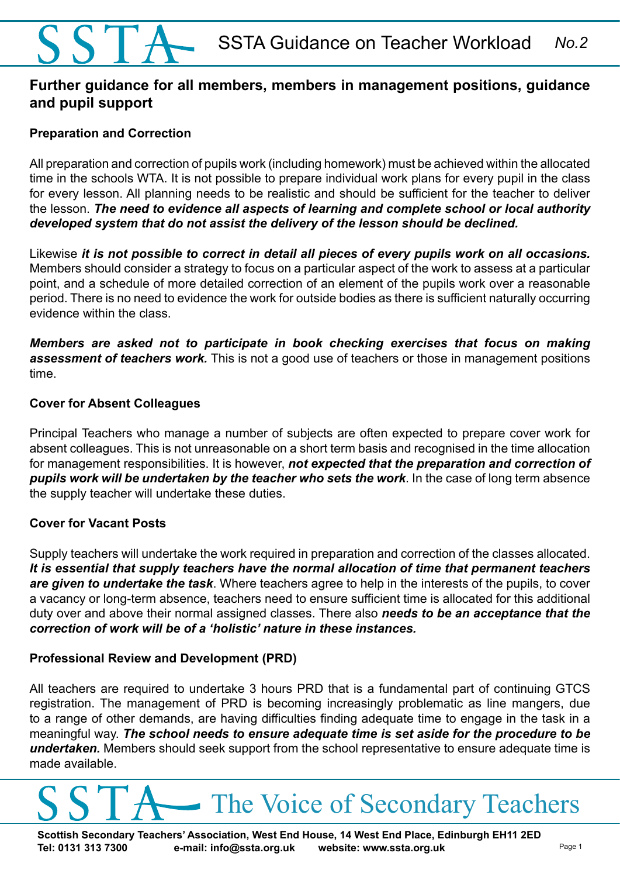# SSTA Guidance on Teacher Workload *No.2*

# **Further guidance for all members, members in management positions, guidance and pupil support**

# **Preparation and Correction**

All preparation and correction of pupils work (including homework) must be achieved within the allocated time in the schools WTA. It is not possible to prepare individual work plans for every pupil in the class for every lesson. All planning needs to be realistic and should be sufficient for the teacher to deliver the lesson. *The need to evidence all aspects of learning and complete school or local authority developed system that do not assist the delivery of the lesson should be declined.* 

Likewise *it is not possible to correct in detail all pieces of every pupils work on all occasions.* Members should consider a strategy to focus on a particular aspect of the work to assess at a particular point, and a schedule of more detailed correction of an element of the pupils work over a reasonable period. There is no need to evidence the work for outside bodies as there is sufficient naturally occurring evidence within the class.

*Members are asked not to participate in book checking exercises that focus on making assessment of teachers work.* This is not a good use of teachers or those in management positions time.

## **Cover for Absent Colleagues**

Principal Teachers who manage a number of subjects are often expected to prepare cover work for absent colleagues. This is not unreasonable on a short term basis and recognised in the time allocation for management responsibilities. It is however, *not expected that the preparation and correction of pupils work will be undertaken by the teacher who sets the work*. In the case of long term absence the supply teacher will undertake these duties.

# **Cover for Vacant Posts**

Supply teachers will undertake the work required in preparation and correction of the classes allocated. *It is essential that supply teachers have the normal allocation of time that permanent teachers are given to undertake the task*. Where teachers agree to help in the interests of the pupils, to cover a vacancy or long-term absence, teachers need to ensure sufficient time is allocated for this additional duty over and above their normal assigned classes. There also *needs to be an acceptance that the correction of work will be of a 'holistic' nature in these instances.* 

#### **Professional Review and Development (PRD)**

All teachers are required to undertake 3 hours PRD that is a fundamental part of continuing GTCS registration. The management of PRD is becoming increasingly problematic as line mangers, due to a range of other demands, are having difficulties finding adequate time to engage in the task in a meaningful way. *The school needs to ensure adequate time is set aside for the procedure to be undertaken.* Members should seek support from the school representative to ensure adequate time is made available.